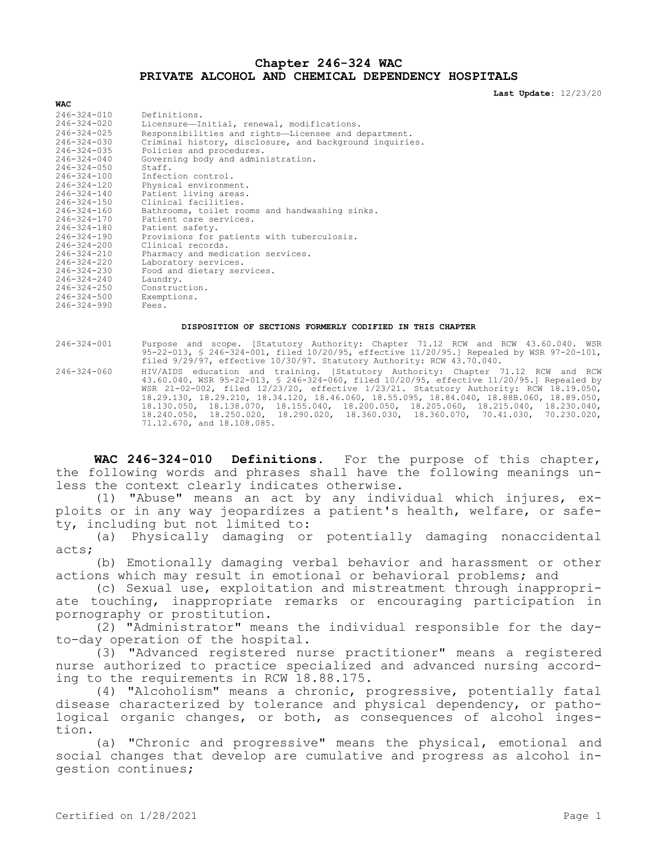# **Chapter 246-324 WAC PRIVATE ALCOHOL AND CHEMICAL DEPENDENCY HOSPITALS**

**Last Update:** 12/23/20

| $246 - 324 - 010$                                     | Definitions.                                                                                         |
|-------------------------------------------------------|------------------------------------------------------------------------------------------------------|
| 246-324-020                                           | Licensure-Initial, renewal, modifications.                                                           |
| $246 - 324 - 025$                                     | Responsibilities and rights-Licensee and department.                                                 |
| $246 - 324 - 030$                                     | Criminal history, disclosure, and background inquiries.                                              |
| $246 - 324 - 035$                                     | Policies and procedures.                                                                             |
| $246 - 324 - 040$                                     | Governing body and administration.                                                                   |
| $246 - 324 - 050$                                     | Staff.                                                                                               |
| 246-324-100                                           | Infection control.                                                                                   |
| $246 - 324 - 120$                                     | Physical environment.                                                                                |
| $246 - 324 - 140$                                     | Patient living areas.                                                                                |
| $246 - 324 - 150$                                     | Clinical facilities.                                                                                 |
| $246 - 324 - 160$                                     | Bathrooms, toilet rooms and handwashing sinks.                                                       |
| $246 - 324 - 170$<br>246-324-180<br>$246 - 324 - 190$ | Patient care services.<br>Patient safety.                                                            |
| $246 - 324 - 200$<br>$246 - 324 - 210$                | Provisions for patients with tuberculosis.<br>Clinical records.<br>Pharmacy and medication services. |
| $246 - 324 - 220$                                     | Laboratory services.                                                                                 |
| $246 - 324 - 230$                                     | Food and dietary services.                                                                           |
| $246 - 324 - 240$                                     | Laundry.                                                                                             |
| $246 - 324 - 250$                                     | Construction.                                                                                        |
| 246-324-500                                           | Exemptions.                                                                                          |
| $246 - 324 - 990$                                     | Fees.                                                                                                |

#### **DISPOSITION OF SECTIONS FORMERLY CODIFIED IN THIS CHAPTER**

**WAC**

246-324-001 Purpose and scope. [Statutory Authority: Chapter 71.12 RCW and RCW 43.60.040. WSR 95-22-013, § 246-324-001, filed 10/20/95, effective 11/20/95.] Repealed by WSR 97-20-101, filed 9/29/97, effective 10/30/97. Statutory Authority: RCW 43.70.040. 246-324-060 HIV/AIDS education and training. [Statutory Authority: Chapter 71.12 RCW and RCW

43.60.040. WSR 95-22-013, § 246-324-060, filed 10/20/95, effective 11/20/95.] Repealed by WSR 21-02-002, filed 12/23/20, effective 1/23/21. Statutory Authority: RCW 18.19.050, 18.29.130, 18.29.210, 18.34.120, 18.46.060, 18.55.095, 18.84.040, 18.88B.060, 18.89.050, 18.130.050, 18.138.070, 18.155.040, 18.200.050, 18.205.060, 18.215.040, 18.230.040, 18.240.050, 18.250.020, 18.290.020, 18.360.030, 18.360.070, 70.41.030, 70.230.020, 71.12.670, and 18.108.085.

**WAC 246-324-010 Definitions.** For the purpose of this chapter, the following words and phrases shall have the following meanings unless the context clearly indicates otherwise.

(1) "Abuse" means an act by any individual which injures, exploits or in any way jeopardizes a patient's health, welfare, or safety, including but not limited to:

(a) Physically damaging or potentially damaging nonaccidental acts;

(b) Emotionally damaging verbal behavior and harassment or other actions which may result in emotional or behavioral problems; and

(c) Sexual use, exploitation and mistreatment through inappropriate touching, inappropriate remarks or encouraging participation in pornography or prostitution.

(2) "Administrator" means the individual responsible for the dayto-day operation of the hospital.

(3) "Advanced registered nurse practitioner" means a registered nurse authorized to practice specialized and advanced nursing according to the requirements in RCW 18.88.175.

(4) "Alcoholism" means a chronic, progressive, potentially fatal disease characterized by tolerance and physical dependency, or pathological organic changes, or both, as consequences of alcohol ingestion.

(a) "Chronic and progressive" means the physical, emotional and social changes that develop are cumulative and progress as alcohol ingestion continues;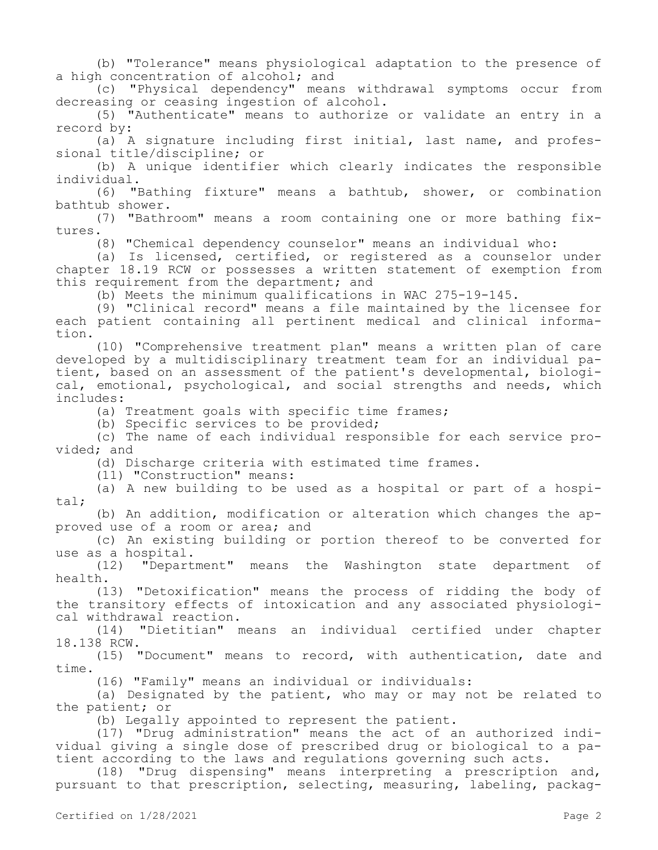(b) "Tolerance" means physiological adaptation to the presence of a high concentration of alcohol; and

(c) "Physical dependency" means withdrawal symptoms occur from decreasing or ceasing ingestion of alcohol.

(5) "Authenticate" means to authorize or validate an entry in a record by:

(a) A signature including first initial, last name, and professional title/discipline; or

(b) A unique identifier which clearly indicates the responsible individual.

(6) "Bathing fixture" means a bathtub, shower, or combination bathtub shower.

(7) "Bathroom" means a room containing one or more bathing fixtures.

(8) "Chemical dependency counselor" means an individual who:

(a) Is licensed, certified, or registered as a counselor under chapter 18.19 RCW or possesses a written statement of exemption from this requirement from the department; and

(b) Meets the minimum qualifications in WAC 275-19-145.

(9) "Clinical record" means a file maintained by the licensee for each patient containing all pertinent medical and clinical information.

(10) "Comprehensive treatment plan" means a written plan of care developed by a multidisciplinary treatment team for an individual patient, based on an assessment of the patient's developmental, biological, emotional, psychological, and social strengths and needs, which includes:

(a) Treatment goals with specific time frames;

(b) Specific services to be provided;

(c) The name of each individual responsible for each service provided; and

(d) Discharge criteria with estimated time frames.

(11) "Construction" means:

(a) A new building to be used as a hospital or part of a hospital;

(b) An addition, modification or alteration which changes the approved use of a room or area; and

(c) An existing building or portion thereof to be converted for use as a hospital.

(12) "Department" means the Washington state department of health.

(13) "Detoxification" means the process of ridding the body of the transitory effects of intoxication and any associated physiological withdrawal reaction.

(14) "Dietitian" means an individual certified under chapter 18.138 RCW.

(15) "Document" means to record, with authentication, date and time.

(16) "Family" means an individual or individuals:

(a) Designated by the patient, who may or may not be related to the patient; or

(b) Legally appointed to represent the patient.

(17) "Drug administration" means the act of an authorized individual giving a single dose of prescribed drug or biological to a patient according to the laws and regulations governing such acts.

(18) "Drug dispensing" means interpreting a prescription and, pursuant to that prescription, selecting, measuring, labeling, packag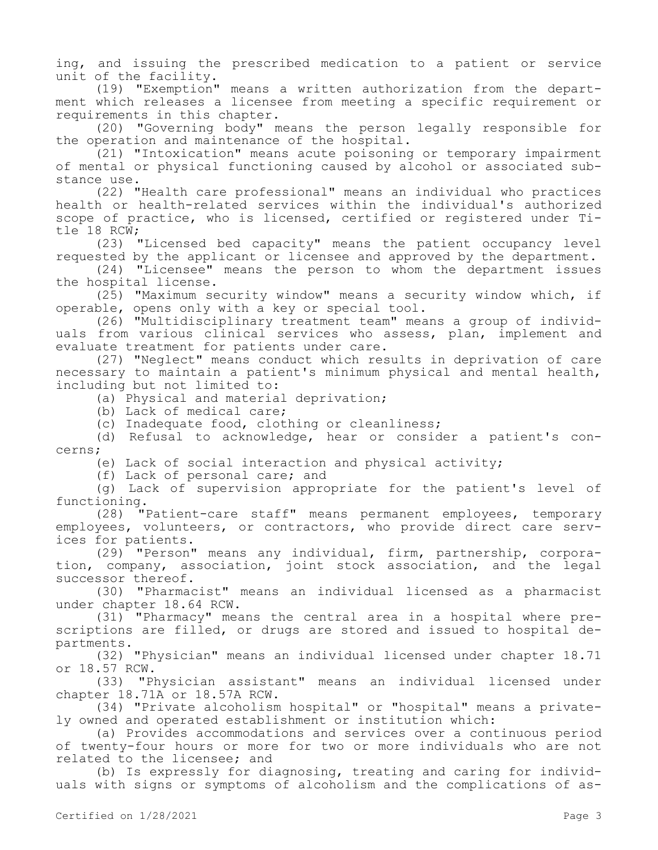ing, and issuing the prescribed medication to a patient or service unit of the facility.

(19) "Exemption" means a written authorization from the department which releases a licensee from meeting a specific requirement or requirements in this chapter.

(20) "Governing body" means the person legally responsible for the operation and maintenance of the hospital.

(21) "Intoxication" means acute poisoning or temporary impairment of mental or physical functioning caused by alcohol or associated substance use.

(22) "Health care professional" means an individual who practices health or health-related services within the individual's authorized scope of practice, who is licensed, certified or registered under Title 18 RCW;

(23) "Licensed bed capacity" means the patient occupancy level requested by the applicant or licensee and approved by the department.

(24) "Licensee" means the person to whom the department issues the hospital license.

(25) "Maximum security window" means a security window which, if operable, opens only with a key or special tool.

(26) "Multidisciplinary treatment team" means a group of individuals from various clinical services who assess, plan, implement and evaluate treatment for patients under care.

(27) "Neglect" means conduct which results in deprivation of care necessary to maintain a patient's minimum physical and mental health, including but not limited to:

(a) Physical and material deprivation;

(b) Lack of medical care;

(c) Inadequate food, clothing or cleanliness;

(d) Refusal to acknowledge, hear or consider a patient's concerns;

(e) Lack of social interaction and physical activity;

(f) Lack of personal care; and

(g) Lack of supervision appropriate for the patient's level of functioning.

(28) "Patient-care staff" means permanent employees, temporary employees, volunteers, or contractors, who provide direct care services for patients.

(29) "Person" means any individual, firm, partnership, corporation, company, association, joint stock association, and the legal successor thereof.

(30) "Pharmacist" means an individual licensed as a pharmacist under chapter 18.64 RCW.

(31) "Pharmacy" means the central area in a hospital where prescriptions are filled, or drugs are stored and issued to hospital departments.

(32) "Physician" means an individual licensed under chapter 18.71 or 18.57 RCW.

(33) "Physician assistant" means an individual licensed under chapter 18.71A or 18.57A RCW.

(34) "Private alcoholism hospital" or "hospital" means a privately owned and operated establishment or institution which:

(a) Provides accommodations and services over a continuous period of twenty-four hours or more for two or more individuals who are not related to the licensee; and

(b) Is expressly for diagnosing, treating and caring for individuals with signs or symptoms of alcoholism and the complications of as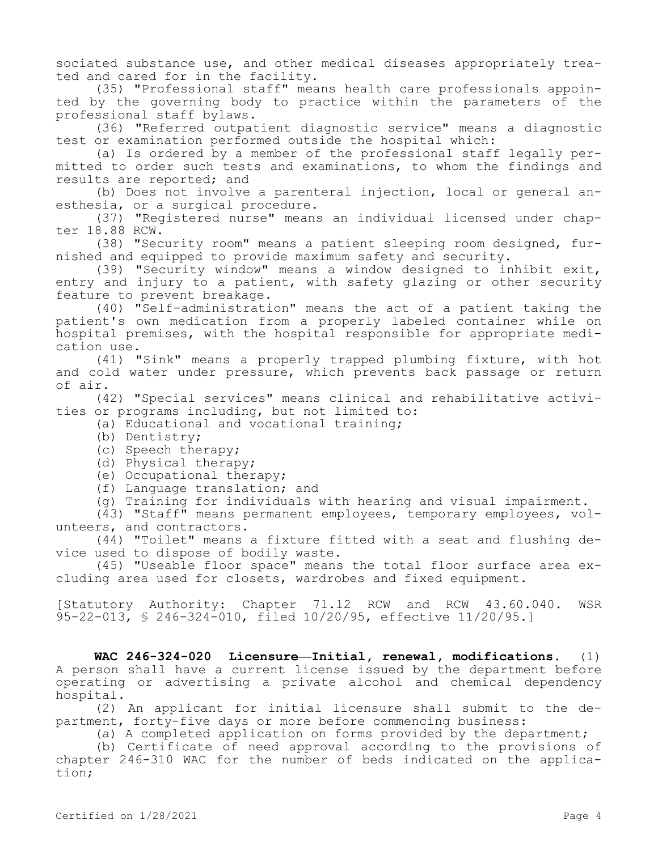sociated substance use, and other medical diseases appropriately treated and cared for in the facility.

(35) "Professional staff" means health care professionals appointed by the governing body to practice within the parameters of the professional staff bylaws.

(36) "Referred outpatient diagnostic service" means a diagnostic test or examination performed outside the hospital which:

(a) Is ordered by a member of the professional staff legally permitted to order such tests and examinations, to whom the findings and results are reported; and

(b) Does not involve a parenteral injection, local or general anesthesia, or a surgical procedure.

(37) "Registered nurse" means an individual licensed under chapter 18.88 RCW.

(38) "Security room" means a patient sleeping room designed, furnished and equipped to provide maximum safety and security.

(39) "Security window" means a window designed to inhibit exit, entry and injury to a patient, with safety glazing or other security feature to prevent breakage.

(40) "Self-administration" means the act of a patient taking the patient's own medication from a properly labeled container while on hospital premises, with the hospital responsible for appropriate medication use.

(41) "Sink" means a properly trapped plumbing fixture, with hot and cold water under pressure, which prevents back passage or return of air.

(42) "Special services" means clinical and rehabilitative activities or programs including, but not limited to:

(a) Educational and vocational training;

- (b) Dentistry;
- (c) Speech therapy;
- (d) Physical therapy;
- (e) Occupational therapy;
- (f) Language translation; and
- (g) Training for individuals with hearing and visual impairment.

(43) "Staff" means permanent employees, temporary employees, volunteers, and contractors.

(44) "Toilet" means a fixture fitted with a seat and flushing device used to dispose of bodily waste.

(45) "Useable floor space" means the total floor surface area excluding area used for closets, wardrobes and fixed equipment.

[Statutory Authority: Chapter 71.12 RCW and RCW 43.60.040. WSR 95-22-013, § 246-324-010, filed 10/20/95, effective 11/20/95.]

**WAC 246-324-020 Licensure—Initial, renewal, modifications.** (1) A person shall have a current license issued by the department before operating or advertising a private alcohol and chemical dependency hospital.

(2) An applicant for initial licensure shall submit to the department, forty-five days or more before commencing business:

(a) A completed application on forms provided by the department;

(b) Certificate of need approval according to the provisions of chapter 246-310 WAC for the number of beds indicated on the application;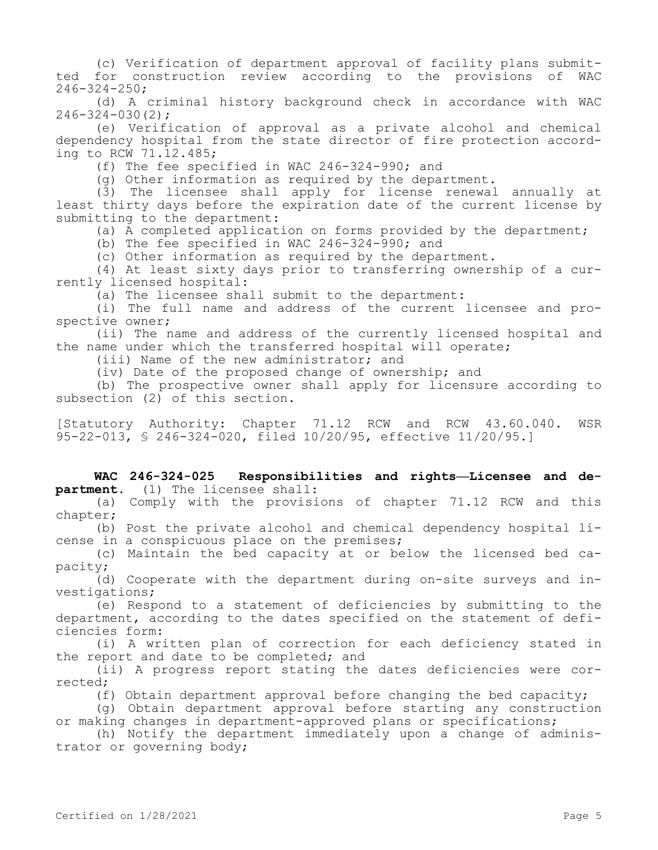(c) Verification of department approval of facility plans submitted for construction review according to the provisions of WAC 246-324-250;

(d) A criminal history background check in accordance with WAC  $246 - 324 - 030(2)$ ;

(e) Verification of approval as a private alcohol and chemical dependency hospital from the state director of fire protection according to RCW 71.12.485;

(f) The fee specified in WAC 246-324-990; and

(g) Other information as required by the department.

(3) The licensee shall apply for license renewal annually at least thirty days before the expiration date of the current license by submitting to the department:

(a) A completed application on forms provided by the department;

(b) The fee specified in WAC 246-324-990; and

(c) Other information as required by the department.

(4) At least sixty days prior to transferring ownership of a currently licensed hospital:

(a) The licensee shall submit to the department:

(i) The full name and address of the current licensee and prospective owner;

(ii) The name and address of the currently licensed hospital and the name under which the transferred hospital will operate;

(iii) Name of the new administrator; and

(iv) Date of the proposed change of ownership; and

(b) The prospective owner shall apply for licensure according to subsection (2) of this section.

[Statutory Authority: Chapter 71.12 RCW and RCW 43.60.040. WSR 95-22-013, § 246-324-020, filed 10/20/95, effective 11/20/95.]

**WAC 246-324-025 Responsibilities and rights—Licensee and department.** (1) The licensee shall:

(a) Comply with the provisions of chapter 71.12 RCW and this chapter;

(b) Post the private alcohol and chemical dependency hospital license in a conspicuous place on the premises;

(c) Maintain the bed capacity at or below the licensed bed capacity;

(d) Cooperate with the department during on-site surveys and investigations;

(e) Respond to a statement of deficiencies by submitting to the department, according to the dates specified on the statement of deficiencies form:

(i) A written plan of correction for each deficiency stated in the report and date to be completed; and

(ii) A progress report stating the dates deficiencies were corrected;

(f) Obtain department approval before changing the bed capacity;

(g) Obtain department approval before starting any construction or making changes in department-approved plans or specifications;

(h) Notify the department immediately upon a change of administrator or governing body;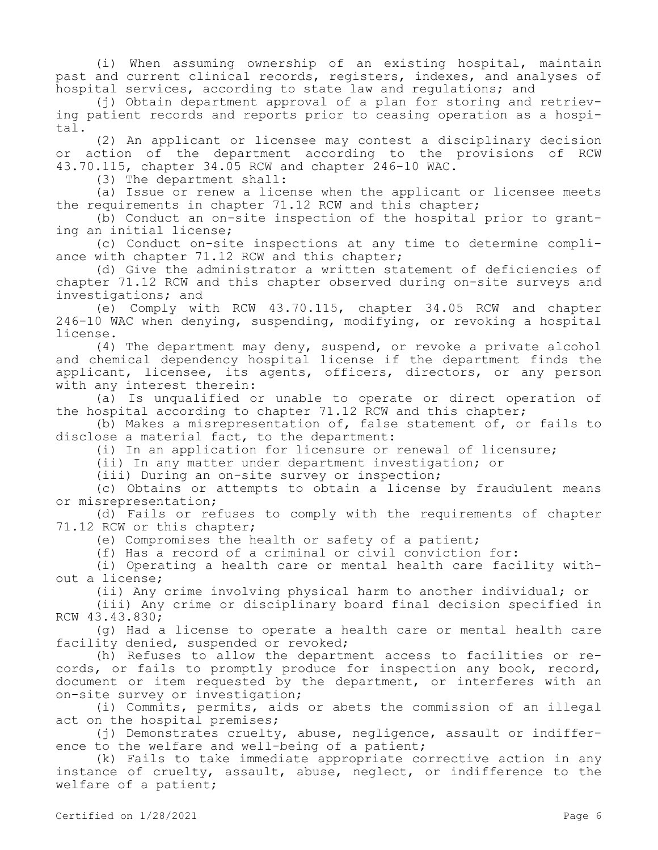(i) When assuming ownership of an existing hospital, maintain past and current clinical records, registers, indexes, and analyses of hospital services, according to state law and regulations; and

(j) Obtain department approval of a plan for storing and retrieving patient records and reports prior to ceasing operation as a hospital.

(2) An applicant or licensee may contest a disciplinary decision or action of the department according to the provisions of RCW 43.70.115, chapter 34.05 RCW and chapter 246-10 WAC.

(3) The department shall:

(a) Issue or renew a license when the applicant or licensee meets the requirements in chapter 71.12 RCW and this chapter;

(b) Conduct an on-site inspection of the hospital prior to granting an initial license;

(c) Conduct on-site inspections at any time to determine compliance with chapter 71.12 RCW and this chapter;

(d) Give the administrator a written statement of deficiencies of chapter 71.12 RCW and this chapter observed during on-site surveys and investigations; and

(e) Comply with RCW 43.70.115, chapter 34.05 RCW and chapter 246-10 WAC when denying, suspending, modifying, or revoking a hospital license.

(4) The department may deny, suspend, or revoke a private alcohol and chemical dependency hospital license if the department finds the applicant, licensee, its agents, officers, directors, or any person with any interest therein:

(a) Is unqualified or unable to operate or direct operation of the hospital according to chapter 71.12 RCW and this chapter;

(b) Makes a misrepresentation of, false statement of, or fails to disclose a material fact, to the department:

(i) In an application for licensure or renewal of licensure;

(ii) In any matter under department investigation; or

(iii) During an on-site survey or inspection;

(c) Obtains or attempts to obtain a license by fraudulent means or misrepresentation;

(d) Fails or refuses to comply with the requirements of chapter 71.12 RCW or this chapter;

(e) Compromises the health or safety of a patient;

(f) Has a record of a criminal or civil conviction for:

(i) Operating a health care or mental health care facility without a license;

(ii) Any crime involving physical harm to another individual; or

(iii) Any crime or disciplinary board final decision specified in RCW 43.43.830;

(g) Had a license to operate a health care or mental health care facility denied, suspended or revoked;

(h) Refuses to allow the department access to facilities or records, or fails to promptly produce for inspection any book, record, document or item requested by the department, or interferes with an on-site survey or investigation;

(i) Commits, permits, aids or abets the commission of an illegal act on the hospital premises;

(j) Demonstrates cruelty, abuse, negligence, assault or indifference to the welfare and well-being of a patient;

(k) Fails to take immediate appropriate corrective action in any instance of cruelty, assault, abuse, neglect, or indifference to the welfare of a patient;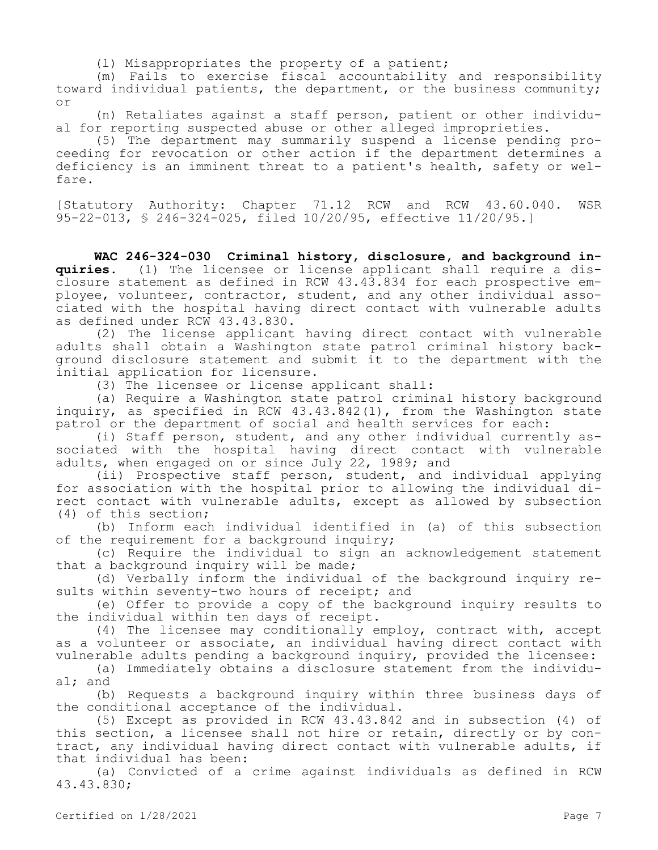(l) Misappropriates the property of a patient;

(m) Fails to exercise fiscal accountability and responsibility toward individual patients, the department, or the business community; or

(n) Retaliates against a staff person, patient or other individual for reporting suspected abuse or other alleged improprieties.

(5) The department may summarily suspend a license pending proceeding for revocation or other action if the department determines a deficiency is an imminent threat to a patient's health, safety or welfare.

[Statutory Authority: Chapter 71.12 RCW and RCW 43.60.040. WSR 95-22-013, § 246-324-025, filed 10/20/95, effective 11/20/95.]

**WAC 246-324-030 Criminal history, disclosure, and background inquiries.** (1) The licensee or license applicant shall require a disclosure statement as defined in RCW 43.43.834 for each prospective employee, volunteer, contractor, student, and any other individual associated with the hospital having direct contact with vulnerable adults as defined under RCW 43.43.830.

(2) The license applicant having direct contact with vulnerable adults shall obtain a Washington state patrol criminal history background disclosure statement and submit it to the department with the initial application for licensure.

(3) The licensee or license applicant shall:

(a) Require a Washington state patrol criminal history background inquiry, as specified in RCW 43.43.842(1), from the Washington state patrol or the department of social and health services for each:

(i) Staff person, student, and any other individual currently associated with the hospital having direct contact with vulnerable adults, when engaged on or since July 22, 1989; and

(ii) Prospective staff person, student, and individual applying for association with the hospital prior to allowing the individual direct contact with vulnerable adults, except as allowed by subsection (4) of this section;

(b) Inform each individual identified in (a) of this subsection of the requirement for a background inquiry;

(c) Require the individual to sign an acknowledgement statement that a background inquiry will be made;

(d) Verbally inform the individual of the background inquiry results within seventy-two hours of receipt; and

(e) Offer to provide a copy of the background inquiry results to the individual within ten days of receipt.

(4) The licensee may conditionally employ, contract with, accept as a volunteer or associate, an individual having direct contact with vulnerable adults pending a background inquiry, provided the licensee:

(a) Immediately obtains a disclosure statement from the individual; and

(b) Requests a background inquiry within three business days of the conditional acceptance of the individual.

(5) Except as provided in RCW 43.43.842 and in subsection (4) of this section, a licensee shall not hire or retain, directly or by contract, any individual having direct contact with vulnerable adults, if that individual has been:

(a) Convicted of a crime against individuals as defined in RCW 43.43.830;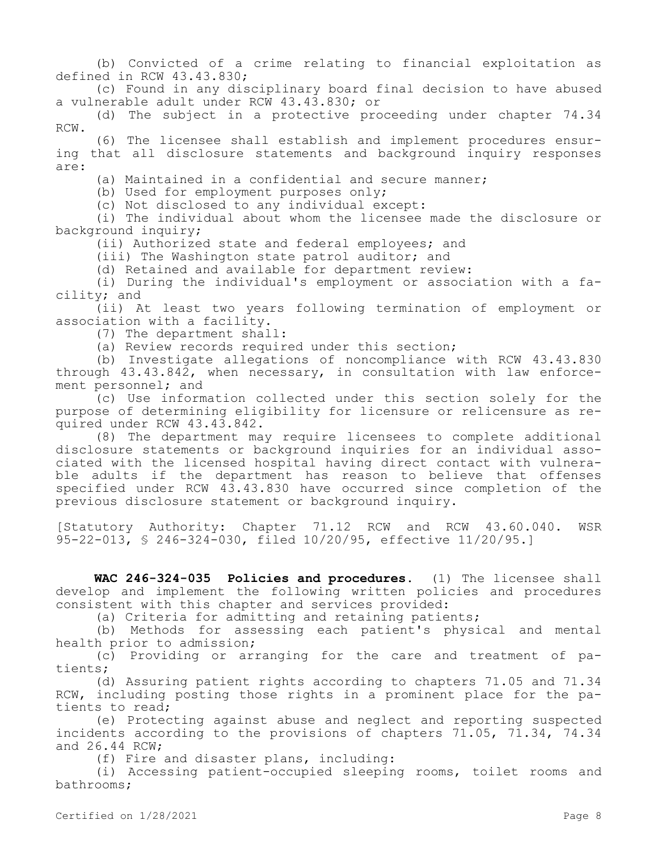(b) Convicted of a crime relating to financial exploitation as defined in RCW 43.43.830;

(c) Found in any disciplinary board final decision to have abused a vulnerable adult under RCW 43.43.830; or

(d) The subject in a protective proceeding under chapter 74.34 RCW.

(6) The licensee shall establish and implement procedures ensuring that all disclosure statements and background inquiry responses are:

(a) Maintained in a confidential and secure manner;

(b) Used for employment purposes only;

(c) Not disclosed to any individual except:

(i) The individual about whom the licensee made the disclosure or background inquiry;

(ii) Authorized state and federal employees; and

(iii) The Washington state patrol auditor; and

(d) Retained and available for department review:

(i) During the individual's employment or association with a facility; and

(ii) At least two years following termination of employment or association with a facility.

(7) The department shall:

(a) Review records required under this section;

(b) Investigate allegations of noncompliance with RCW 43.43.830 through 43.43.842, when necessary, in consultation with law enforcement personnel; and

(c) Use information collected under this section solely for the purpose of determining eligibility for licensure or relicensure as required under RCW 43.43.842.

(8) The department may require licensees to complete additional disclosure statements or background inquiries for an individual associated with the licensed hospital having direct contact with vulnerable adults if the department has reason to believe that offenses specified under RCW 43.43.830 have occurred since completion of the previous disclosure statement or background inquiry.

[Statutory Authority: Chapter 71.12 RCW and RCW 43.60.040. WSR 95-22-013, § 246-324-030, filed 10/20/95, effective 11/20/95.]

**WAC 246-324-035 Policies and procedures.** (1) The licensee shall develop and implement the following written policies and procedures consistent with this chapter and services provided:

(a) Criteria for admitting and retaining patients;

(b) Methods for assessing each patient's physical and mental health prior to admission;

(c) Providing or arranging for the care and treatment of patients;

(d) Assuring patient rights according to chapters 71.05 and 71.34 RCW, including posting those rights in a prominent place for the patients to read;

(e) Protecting against abuse and neglect and reporting suspected incidents according to the provisions of chapters 71.05, 71.34, 74.34 and 26.44 RCW;

(f) Fire and disaster plans, including:

(i) Accessing patient-occupied sleeping rooms, toilet rooms and bathrooms;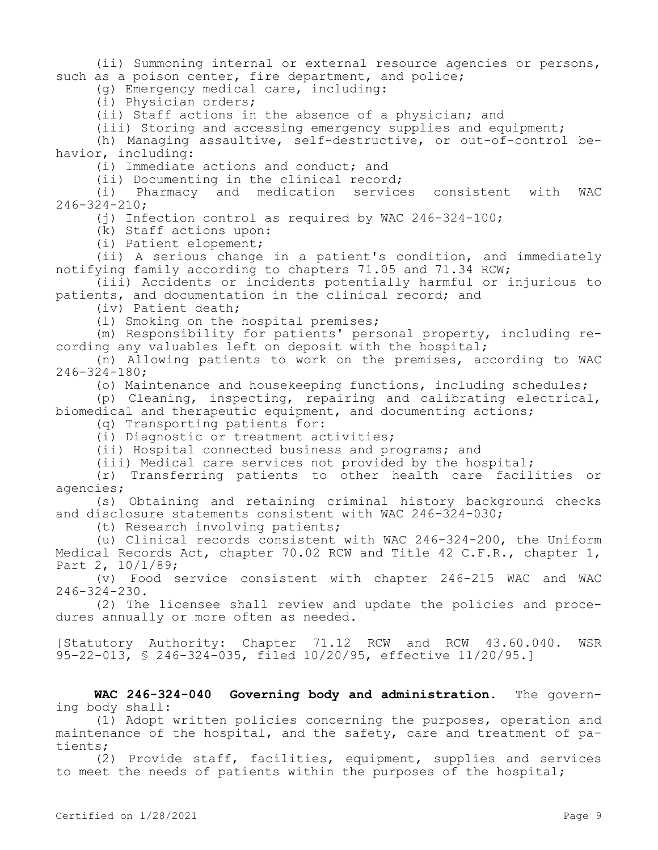(ii) Summoning internal or external resource agencies or persons, such as a poison center, fire department, and police;

(g) Emergency medical care, including:

(i) Physician orders;

(ii) Staff actions in the absence of a physician; and

(iii) Storing and accessing emergency supplies and equipment;

(h) Managing assaultive, self-destructive, or out-of-control behavior, including:

(i) Immediate actions and conduct; and

(ii) Documenting in the clinical record;

(i) Pharmacy and medication services consistent with WAC 246-324-210;

(i) Infection control as required by WAC 246-324-100;

(k) Staff actions upon:

(i) Patient elopement;

(ii) A serious change in a patient's condition, and immediately notifying family according to chapters 71.05 and 71.34 RCW;

(iii) Accidents or incidents potentially harmful or injurious to patients, and documentation in the clinical record; and

(iv) Patient death;

(l) Smoking on the hospital premises;

(m) Responsibility for patients' personal property, including recording any valuables left on deposit with the hospital;

(n) Allowing patients to work on the premises, according to WAC 246-324-180;

(o) Maintenance and housekeeping functions, including schedules;

(p) Cleaning, inspecting, repairing and calibrating electrical, biomedical and therapeutic equipment, and documenting actions;

(q) Transporting patients for:

(i) Diagnostic or treatment activities;

(ii) Hospital connected business and programs; and

(iii) Medical care services not provided by the hospital;

(r) Transferring patients to other health care facilities or agencies;

(s) Obtaining and retaining criminal history background checks and disclosure statements consistent with WAC 246-324-030;

(t) Research involving patients;

(u) Clinical records consistent with WAC 246-324-200, the Uniform Medical Records Act, chapter 70.02 RCW and Title 42 C.F.R., chapter 1, Part 2, 10/1/89;

(v) Food service consistent with chapter 246-215 WAC and WAC 246-324-230.

(2) The licensee shall review and update the policies and procedures annually or more often as needed.

[Statutory Authority: Chapter 71.12 RCW and RCW 43.60.040. WSR 95-22-013, § 246-324-035, filed 10/20/95, effective 11/20/95.]

**WAC 246-324-040 Governing body and administration.** The governing body shall:

(1) Adopt written policies concerning the purposes, operation and maintenance of the hospital, and the safety, care and treatment of patients;

(2) Provide staff, facilities, equipment, supplies and services to meet the needs of patients within the purposes of the hospital;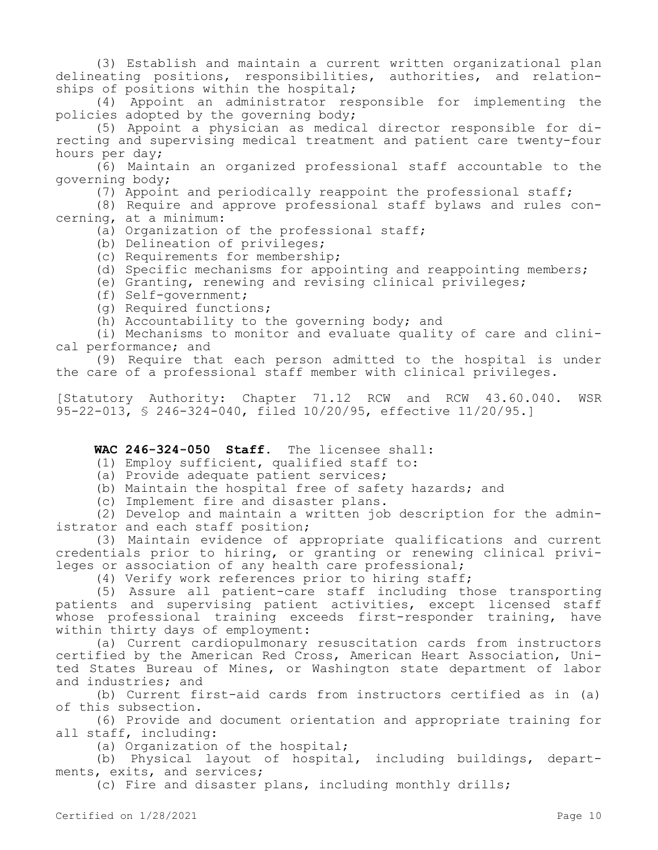(3) Establish and maintain a current written organizational plan delineating positions, responsibilities, authorities, and relationships of positions within the hospital;

(4) Appoint an administrator responsible for implementing the policies adopted by the governing body;

(5) Appoint a physician as medical director responsible for directing and supervising medical treatment and patient care twenty-four hours per day;

(6) Maintain an organized professional staff accountable to the governing body;

(7) Appoint and periodically reappoint the professional staff;

(8) Require and approve professional staff bylaws and rules concerning, at a minimum:

(a) Organization of the professional staff;

- (b) Delineation of privileges;
- (c) Requirements for membership;
- (d) Specific mechanisms for appointing and reappointing members;
- (e) Granting, renewing and revising clinical privileges;
- (f) Self-government;
- (g) Required functions;
- (h) Accountability to the governing body; and

(i) Mechanisms to monitor and evaluate quality of care and clinical performance; and

(9) Require that each person admitted to the hospital is under the care of a professional staff member with clinical privileges.

[Statutory Authority: Chapter 71.12 RCW and RCW 43.60.040. WSR 95-22-013, § 246-324-040, filed 10/20/95, effective 11/20/95.]

## **WAC 246-324-050 Staff.** The licensee shall:

- (1) Employ sufficient, qualified staff to:
- (a) Provide adequate patient services;
- (b) Maintain the hospital free of safety hazards; and
- (c) Implement fire and disaster plans.

(2) Develop and maintain a written job description for the administrator and each staff position;

(3) Maintain evidence of appropriate qualifications and current credentials prior to hiring, or granting or renewing clinical privileges or association of any health care professional;

(4) Verify work references prior to hiring staff;

(5) Assure all patient-care staff including those transporting patients and supervising patient activities, except licensed staff whose professional training exceeds first-responder training, have within thirty days of employment:

(a) Current cardiopulmonary resuscitation cards from instructors certified by the American Red Cross, American Heart Association, United States Bureau of Mines, or Washington state department of labor and industries; and

(b) Current first-aid cards from instructors certified as in (a) of this subsection.

(6) Provide and document orientation and appropriate training for all staff, including:

(a) Organization of the hospital;

(b) Physical layout of hospital, including buildings, departments, exits, and services;

(c) Fire and disaster plans, including monthly drills;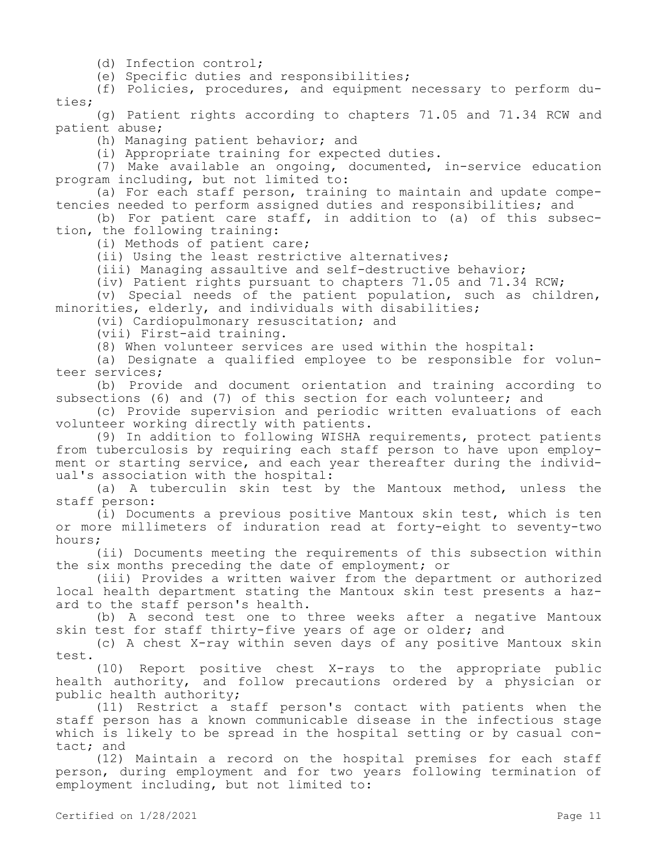(d) Infection control;

(e) Specific duties and responsibilities;

(f) Policies, procedures, and equipment necessary to perform duties;

(g) Patient rights according to chapters 71.05 and 71.34 RCW and patient abuse;

(h) Managing patient behavior; and

(i) Appropriate training for expected duties.

(7) Make available an ongoing, documented, in-service education program including, but not limited to:

(a) For each staff person, training to maintain and update competencies needed to perform assigned duties and responsibilities; and

(b) For patient care staff, in addition to (a) of this subsection, the following training:

(i) Methods of patient care;

(ii) Using the least restrictive alternatives;

(iii) Managing assaultive and self-destructive behavior;

(iv) Patient rights pursuant to chapters 71.05 and 71.34 RCW;

(v) Special needs of the patient population, such as children, minorities, elderly, and individuals with disabilities;

(vi) Cardiopulmonary resuscitation; and

(vii) First-aid training.

(8) When volunteer services are used within the hospital:

(a) Designate a qualified employee to be responsible for volunteer services;

(b) Provide and document orientation and training according to subsections (6) and (7) of this section for each volunteer; and

(c) Provide supervision and periodic written evaluations of each volunteer working directly with patients.

(9) In addition to following WISHA requirements, protect patients from tuberculosis by requiring each staff person to have upon employment or starting service, and each year thereafter during the individual's association with the hospital:

(a) A tuberculin skin test by the Mantoux method, unless the staff person:

(i) Documents a previous positive Mantoux skin test, which is ten or more millimeters of induration read at forty-eight to seventy-two hours;

(ii) Documents meeting the requirements of this subsection within the six months preceding the date of employment; or

(iii) Provides a written waiver from the department or authorized local health department stating the Mantoux skin test presents a hazard to the staff person's health.

(b) A second test one to three weeks after a negative Mantoux skin test for staff thirty-five years of age or older; and

(c) A chest X-ray within seven days of any positive Mantoux skin test.

(10) Report positive chest X-rays to the appropriate public health authority, and follow precautions ordered by a physician or public health authority;

(11) Restrict a staff person's contact with patients when the staff person has a known communicable disease in the infectious stage which is likely to be spread in the hospital setting or by casual contact; and

(12) Maintain a record on the hospital premises for each staff person, during employment and for two years following termination of employment including, but not limited to: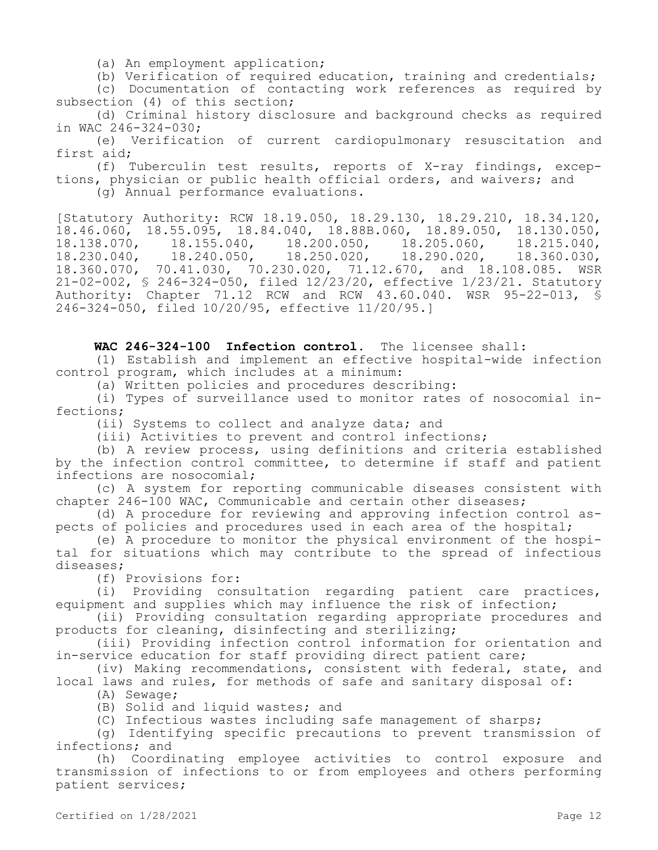(a) An employment application;

(b) Verification of required education, training and credentials;

(c) Documentation of contacting work references as required by subsection (4) of this section;

(d) Criminal history disclosure and background checks as required in WAC 246-324-030;

(e) Verification of current cardiopulmonary resuscitation and first aid;

(f) Tuberculin test results, reports of X-ray findings, exceptions, physician or public health official orders, and waivers; and (g) Annual performance evaluations.

[Statutory Authority: RCW 18.19.050, 18.29.130, 18.29.210, 18.34.120, 18.46.060, 18.55.095, 18.84.040, 18.88B.060, 18.89.050, 18.130.050, 18.138.070, 18.155.040, 18.200.050, 18.205.060, 18.215.040, 18.138.070, 18.155.040, 18.200.050, 18.205.060, 18.215.040,<br>18.230.040, 18.240.050, 18.250.020, 18.290.020, 18.360.030, 18.360.070, 70.41.030, 70.230.020, 71.12.670, and 18.108.085. WSR 21-02-002, § 246-324-050, filed 12/23/20, effective 1/23/21. Statutory Authority: Chapter 71.12 RCW and RCW 43.60.040. WSR 95-22-013, § 246-324-050, filed 10/20/95, effective 11/20/95.]

**WAC 246-324-100 Infection control.** The licensee shall:

(1) Establish and implement an effective hospital-wide infection control program, which includes at a minimum:

(a) Written policies and procedures describing:

(i) Types of surveillance used to monitor rates of nosocomial infections;

(ii) Systems to collect and analyze data; and

(iii) Activities to prevent and control infections;

(b) A review process, using definitions and criteria established by the infection control committee, to determine if staff and patient infections are nosocomial;

(c) A system for reporting communicable diseases consistent with chapter 246-100 WAC, Communicable and certain other diseases;

(d) A procedure for reviewing and approving infection control aspects of policies and procedures used in each area of the hospital;

(e) A procedure to monitor the physical environment of the hospital for situations which may contribute to the spread of infectious diseases;

(f) Provisions for:

(i) Providing consultation regarding patient care practices, equipment and supplies which may influence the risk of infection;

(ii) Providing consultation regarding appropriate procedures and products for cleaning, disinfecting and sterilizing;

(iii) Providing infection control information for orientation and in-service education for staff providing direct patient care;

(iv) Making recommendations, consistent with federal, state, and local laws and rules, for methods of safe and sanitary disposal of:

(A) Sewage;

(B) Solid and liquid wastes; and

(C) Infectious wastes including safe management of sharps;

(g) Identifying specific precautions to prevent transmission of infections; and

(h) Coordinating employee activities to control exposure and transmission of infections to or from employees and others performing patient services;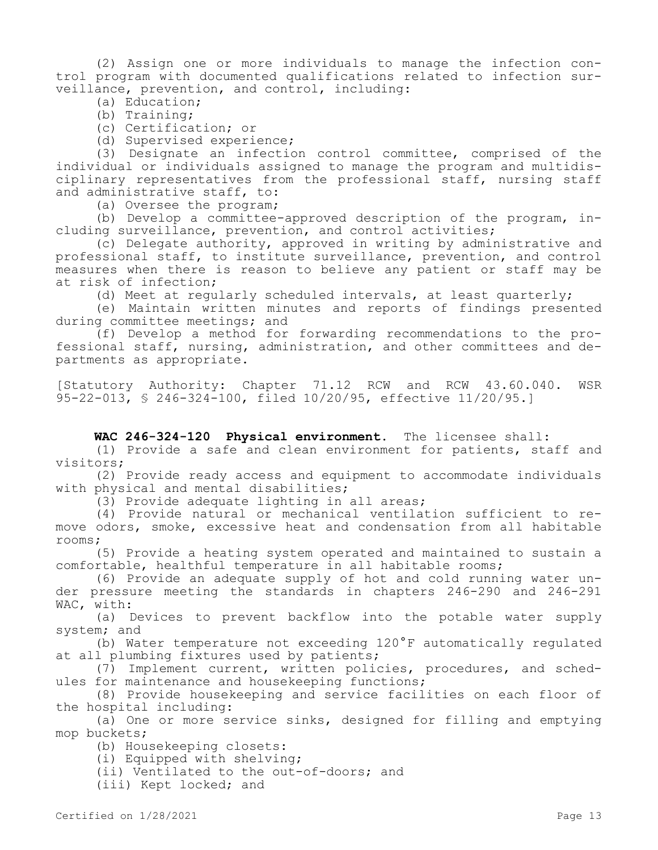(2) Assign one or more individuals to manage the infection control program with documented qualifications related to infection surveillance, prevention, and control, including:

(a) Education;

(b) Training;

(c) Certification; or

(d) Supervised experience;

(3) Designate an infection control committee, comprised of the individual or individuals assigned to manage the program and multidisciplinary representatives from the professional staff, nursing staff and administrative staff, to:

(a) Oversee the program;

(b) Develop a committee-approved description of the program, including surveillance, prevention, and control activities;

(c) Delegate authority, approved in writing by administrative and professional staff, to institute surveillance, prevention, and control measures when there is reason to believe any patient or staff may be at risk of infection;

(d) Meet at regularly scheduled intervals, at least quarterly;

(e) Maintain written minutes and reports of findings presented during committee meetings; and

(f) Develop a method for forwarding recommendations to the professional staff, nursing, administration, and other committees and departments as appropriate.

[Statutory Authority: Chapter 71.12 RCW and RCW 43.60.040. WSR 95-22-013, § 246-324-100, filed 10/20/95, effective 11/20/95.]

### **WAC 246-324-120 Physical environment.** The licensee shall:

(1) Provide a safe and clean environment for patients, staff and visitors;

(2) Provide ready access and equipment to accommodate individuals with physical and mental disabilities;

(3) Provide adequate lighting in all areas;

(4) Provide natural or mechanical ventilation sufficient to remove odors, smoke, excessive heat and condensation from all habitable rooms;

(5) Provide a heating system operated and maintained to sustain a comfortable, healthful temperature in all habitable rooms;

(6) Provide an adequate supply of hot and cold running water under pressure meeting the standards in chapters 246-290 and 246-291 WAC, with:

(a) Devices to prevent backflow into the potable water supply system; and

(b) Water temperature not exceeding 120°F automatically regulated at all plumbing fixtures used by patients;

(7) Implement current, written policies, procedures, and schedules for maintenance and housekeeping functions;

(8) Provide housekeeping and service facilities on each floor of the hospital including:

(a) One or more service sinks, designed for filling and emptying mop buckets;

(b) Housekeeping closets:

(i) Equipped with shelving;

(ii) Ventilated to the out-of-doors; and

(iii) Kept locked; and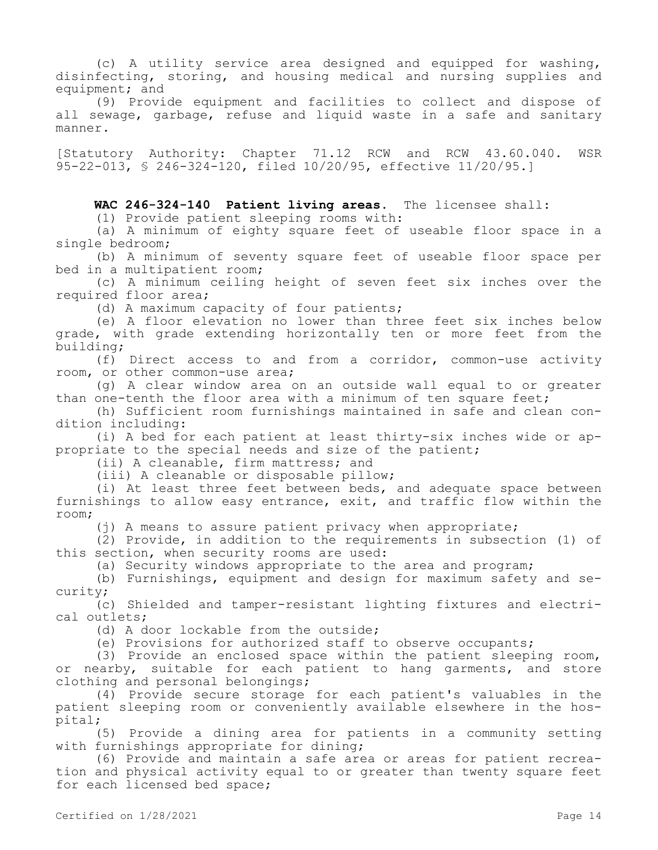(c) A utility service area designed and equipped for washing, disinfecting, storing, and housing medical and nursing supplies and equipment; and

(9) Provide equipment and facilities to collect and dispose of all sewage, garbage, refuse and liquid waste in a safe and sanitary manner.

[Statutory Authority: Chapter 71.12 RCW and RCW 43.60.040. WSR 95-22-013, § 246-324-120, filed 10/20/95, effective 11/20/95.]

**WAC 246-324-140 Patient living areas.** The licensee shall:

(1) Provide patient sleeping rooms with:

(a) A minimum of eighty square feet of useable floor space in a single bedroom;

(b) A minimum of seventy square feet of useable floor space per bed in a multipatient room;

(c) A minimum ceiling height of seven feet six inches over the required floor area;

(d) A maximum capacity of four patients;

(e) A floor elevation no lower than three feet six inches below grade, with grade extending horizontally ten or more feet from the building;

(f) Direct access to and from a corridor, common-use activity room, or other common-use area;

(g) A clear window area on an outside wall equal to or greater than one-tenth the floor area with a minimum of ten square feet;

(h) Sufficient room furnishings maintained in safe and clean condition including:

(i) A bed for each patient at least thirty-six inches wide or appropriate to the special needs and size of the patient;

(ii) A cleanable, firm mattress; and

(iii) A cleanable or disposable pillow;

(i) At least three feet between beds, and adequate space between furnishings to allow easy entrance, exit, and traffic flow within the room;

(j) A means to assure patient privacy when appropriate;

(2) Provide, in addition to the requirements in subsection (1) of this section, when security rooms are used:

(a) Security windows appropriate to the area and program;

(b) Furnishings, equipment and design for maximum safety and security;

(c) Shielded and tamper-resistant lighting fixtures and electrical outlets;

(d) A door lockable from the outside;

(e) Provisions for authorized staff to observe occupants;

(3) Provide an enclosed space within the patient sleeping room, or nearby, suitable for each patient to hang garments, and store clothing and personal belongings;

(4) Provide secure storage for each patient's valuables in the patient sleeping room or conveniently available elsewhere in the hospital;

(5) Provide a dining area for patients in a community setting with furnishings appropriate for dining;

(6) Provide and maintain a safe area or areas for patient recreation and physical activity equal to or greater than twenty square feet for each licensed bed space;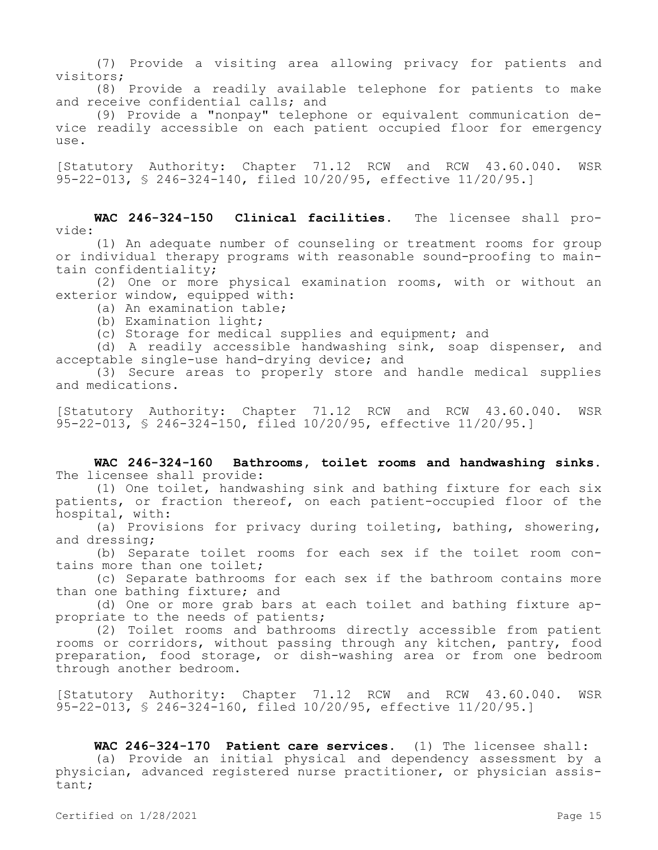(7) Provide a visiting area allowing privacy for patients and visitors;

(8) Provide a readily available telephone for patients to make and receive confidential calls; and

(9) Provide a "nonpay" telephone or equivalent communication device readily accessible on each patient occupied floor for emergency use.

[Statutory Authority: Chapter 71.12 RCW and RCW 43.60.040. WSR 95-22-013, § 246-324-140, filed 10/20/95, effective 11/20/95.]

**WAC 246-324-150 Clinical facilities.** The licensee shall provide:

(1) An adequate number of counseling or treatment rooms for group or individual therapy programs with reasonable sound-proofing to maintain confidentiality;

(2) One or more physical examination rooms, with or without an exterior window, equipped with:

- (a) An examination table;
- (b) Examination light;

(c) Storage for medical supplies and equipment; and

(d) A readily accessible handwashing sink, soap dispenser, and acceptable single-use hand-drying device; and

(3) Secure areas to properly store and handle medical supplies and medications.

[Statutory Authority: Chapter 71.12 RCW and RCW 43.60.040. WSR 95-22-013, § 246-324-150, filed 10/20/95, effective 11/20/95.]

**WAC 246-324-160 Bathrooms, toilet rooms and handwashing sinks.**  The licensee shall provide:

(1) One toilet, handwashing sink and bathing fixture for each six patients, or fraction thereof, on each patient-occupied floor of the hospital, with:

(a) Provisions for privacy during toileting, bathing, showering, and dressing;

(b) Separate toilet rooms for each sex if the toilet room contains more than one toilet;

(c) Separate bathrooms for each sex if the bathroom contains more than one bathing fixture; and

(d) One or more grab bars at each toilet and bathing fixture appropriate to the needs of patients;

(2) Toilet rooms and bathrooms directly accessible from patient rooms or corridors, without passing through any kitchen, pantry, food preparation, food storage, or dish-washing area or from one bedroom through another bedroom.

[Statutory Authority: Chapter 71.12 RCW and RCW 43.60.040. WSR 95-22-013, § 246-324-160, filed 10/20/95, effective 11/20/95.]

**WAC 246-324-170 Patient care services.** (1) The licensee shall: (a) Provide an initial physical and dependency assessment by a physician, advanced registered nurse practitioner, or physician assistant;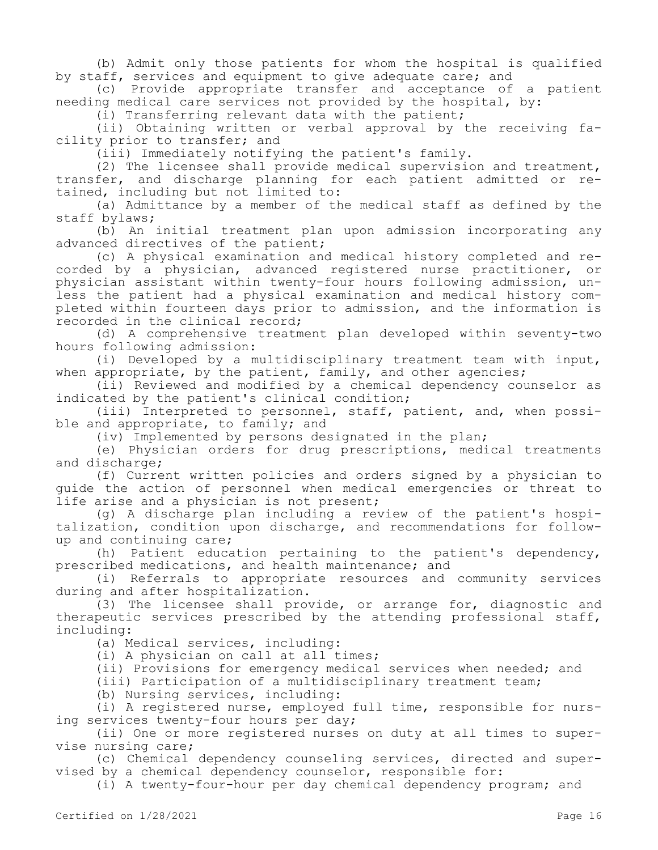(b) Admit only those patients for whom the hospital is qualified by staff, services and equipment to give adequate care; and

(c) Provide appropriate transfer and acceptance of a patient needing medical care services not provided by the hospital, by:

(i) Transferring relevant data with the patient;

(ii) Obtaining written or verbal approval by the receiving facility prior to transfer; and

(iii) Immediately notifying the patient's family.

(2) The licensee shall provide medical supervision and treatment, transfer, and discharge planning for each patient admitted or retained, including but not limited to:

(a) Admittance by a member of the medical staff as defined by the staff bylaws;

(b) An initial treatment plan upon admission incorporating any advanced directives of the patient;

(c) A physical examination and medical history completed and recorded by a physician, advanced registered nurse practitioner, or physician assistant within twenty-four hours following admission, unless the patient had a physical examination and medical history completed within fourteen days prior to admission, and the information is recorded in the clinical record;

(d) A comprehensive treatment plan developed within seventy-two hours following admission:

(i) Developed by a multidisciplinary treatment team with input, when appropriate, by the patient, family, and other agencies;

(ii) Reviewed and modified by a chemical dependency counselor as indicated by the patient's clinical condition;

(iii) Interpreted to personnel, staff, patient, and, when possible and appropriate, to family; and

(iv) Implemented by persons designated in the plan;

(e) Physician orders for drug prescriptions, medical treatments and discharge;

(f) Current written policies and orders signed by a physician to guide the action of personnel when medical emergencies or threat to life arise and a physician is not present;

(g) A discharge plan including a review of the patient's hospitalization, condition upon discharge, and recommendations for followup and continuing care;

(h) Patient education pertaining to the patient's dependency, prescribed medications, and health maintenance; and

(i) Referrals to appropriate resources and community services during and after hospitalization.

(3) The licensee shall provide, or arrange for, diagnostic and therapeutic services prescribed by the attending professional staff, including:

(a) Medical services, including:

(i) A physician on call at all times;

(ii) Provisions for emergency medical services when needed; and

(iii) Participation of a multidisciplinary treatment team;

(b) Nursing services, including:

(i) A registered nurse, employed full time, responsible for nursing services twenty-four hours per day;

(ii) One or more registered nurses on duty at all times to supervise nursing care;

(c) Chemical dependency counseling services, directed and supervised by a chemical dependency counselor, responsible for:

(i) A twenty-four-hour per day chemical dependency program; and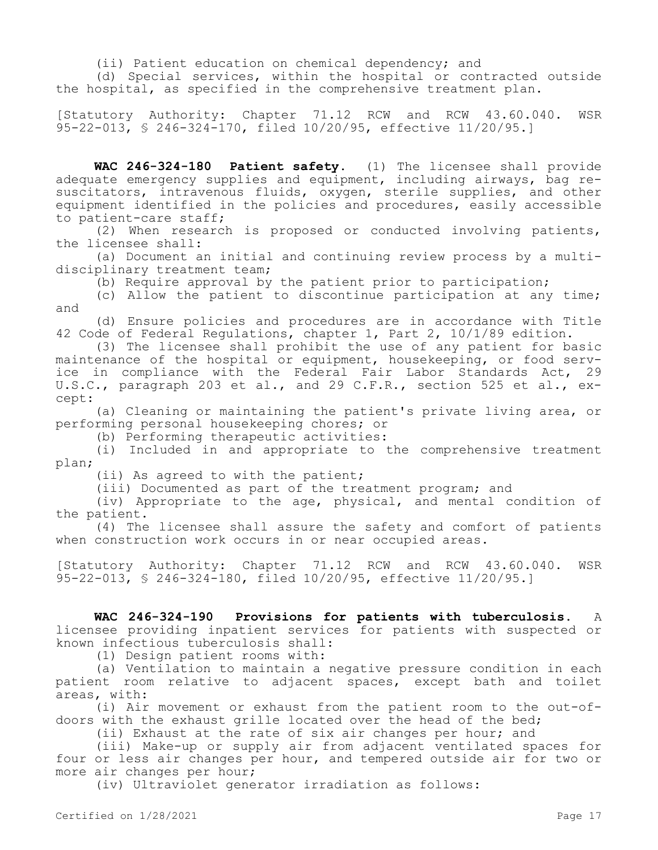(ii) Patient education on chemical dependency; and

(d) Special services, within the hospital or contracted outside the hospital, as specified in the comprehensive treatment plan.

[Statutory Authority: Chapter 71.12 RCW and RCW 43.60.040. WSR 95-22-013, § 246-324-170, filed 10/20/95, effective 11/20/95.]

**WAC 246-324-180 Patient safety.** (1) The licensee shall provide adequate emergency supplies and equipment, including airways, bag resuscitators, intravenous fluids, oxygen, sterile supplies, and other equipment identified in the policies and procedures, easily accessible to patient-care staff;

(2) When research is proposed or conducted involving patients, the licensee shall:

(a) Document an initial and continuing review process by a multidisciplinary treatment team;

(b) Require approval by the patient prior to participation;

(c) Allow the patient to discontinue participation at any time; and

(d) Ensure policies and procedures are in accordance with Title 42 Code of Federal Regulations, chapter 1, Part 2, 10/1/89 edition.

(3) The licensee shall prohibit the use of any patient for basic maintenance of the hospital or equipment, housekeeping, or food service in compliance with the Federal Fair Labor Standards Act, 29 U.S.C., paragraph 203 et al., and 29 C.F.R., section 525 et al., except:

(a) Cleaning or maintaining the patient's private living area, or performing personal housekeeping chores; or

(b) Performing therapeutic activities:

(i) Included in and appropriate to the comprehensive treatment plan;

(ii) As agreed to with the patient;

(iii) Documented as part of the treatment program; and

(iv) Appropriate to the age, physical, and mental condition of the patient.

(4) The licensee shall assure the safety and comfort of patients when construction work occurs in or near occupied areas.

[Statutory Authority: Chapter 71.12 RCW and RCW 43.60.040. WSR 95-22-013, § 246-324-180, filed 10/20/95, effective 11/20/95.]

**WAC 246-324-190 Provisions for patients with tuberculosis.** A licensee providing inpatient services for patients with suspected or known infectious tuberculosis shall:

(1) Design patient rooms with:

(a) Ventilation to maintain a negative pressure condition in each patient room relative to adjacent spaces, except bath and toilet areas, with:

(i) Air movement or exhaust from the patient room to the out-ofdoors with the exhaust grille located over the head of the bed;

(ii) Exhaust at the rate of six air changes per hour; and

(iii) Make-up or supply air from adjacent ventilated spaces for four or less air changes per hour, and tempered outside air for two or more air changes per hour;

(iv) Ultraviolet generator irradiation as follows: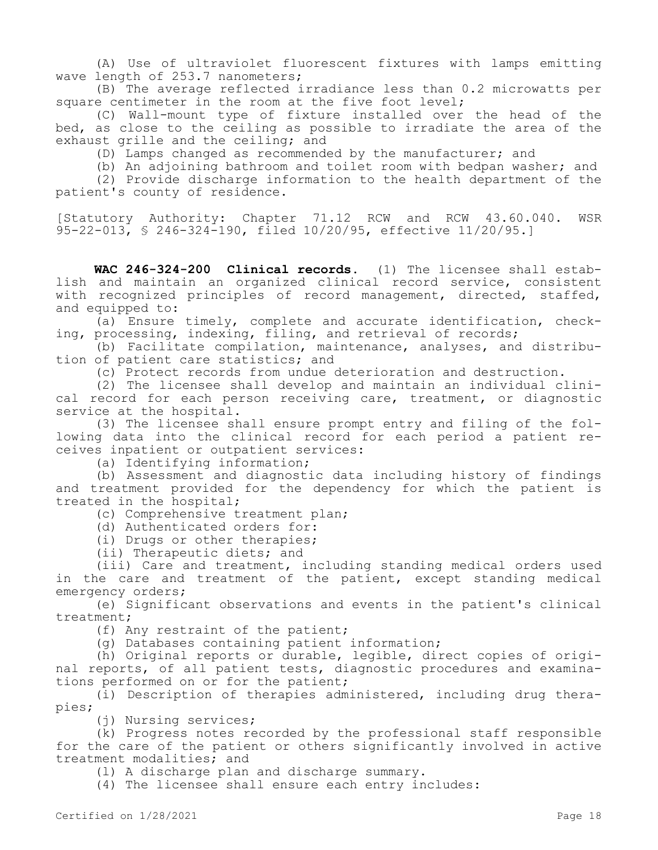(A) Use of ultraviolet fluorescent fixtures with lamps emitting wave length of 253.7 nanometers;

(B) The average reflected irradiance less than 0.2 microwatts per square centimeter in the room at the five foot level;

(C) Wall-mount type of fixture installed over the head of the bed, as close to the ceiling as possible to irradiate the area of the exhaust grille and the ceiling; and

(D) Lamps changed as recommended by the manufacturer; and

(b) An adjoining bathroom and toilet room with bedpan washer; and

(2) Provide discharge information to the health department of the patient's county of residence.

[Statutory Authority: Chapter 71.12 RCW and RCW 43.60.040. WSR 95-22-013, § 246-324-190, filed 10/20/95, effective 11/20/95.]

**WAC 246-324-200 Clinical records.** (1) The licensee shall establish and maintain an organized clinical record service, consistent with recognized principles of record management, directed, staffed, and equipped to:

(a) Ensure timely, complete and accurate identification, checking, processing, indexing, filing, and retrieval of records;

(b) Facilitate compilation, maintenance, analyses, and distribution of patient care statistics; and

(c) Protect records from undue deterioration and destruction.

(2) The licensee shall develop and maintain an individual clinical record for each person receiving care, treatment, or diagnostic service at the hospital.

(3) The licensee shall ensure prompt entry and filing of the following data into the clinical record for each period a patient receives inpatient or outpatient services:

(a) Identifying information;

(b) Assessment and diagnostic data including history of findings and treatment provided for the dependency for which the patient is treated in the hospital;

(c) Comprehensive treatment plan;

(d) Authenticated orders for:

(i) Drugs or other therapies;

(ii) Therapeutic diets; and

(iii) Care and treatment, including standing medical orders used in the care and treatment of the patient, except standing medical emergency orders;

(e) Significant observations and events in the patient's clinical treatment;

(f) Any restraint of the patient;

(g) Databases containing patient information;

(h) Original reports or durable, legible, direct copies of original reports, of all patient tests, diagnostic procedures and examinations performed on or for the patient;

(i) Description of therapies administered, including drug therapies;

(j) Nursing services;

(k) Progress notes recorded by the professional staff responsible for the care of the patient or others significantly involved in active treatment modalities; and

(l) A discharge plan and discharge summary.

(4) The licensee shall ensure each entry includes: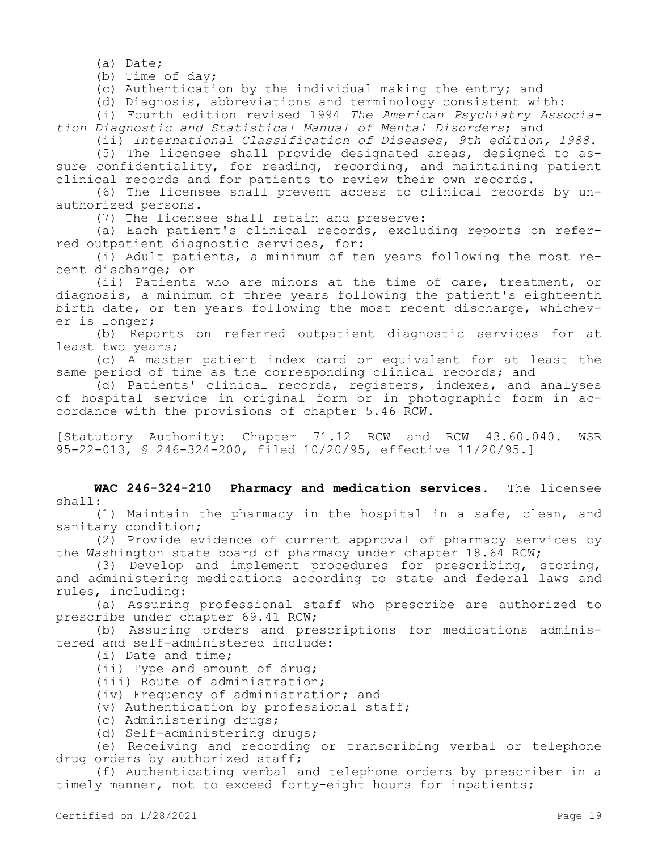(a) Date;

(b) Time of day;

(c) Authentication by the individual making the entry; and

(d) Diagnosis, abbreviations and terminology consistent with:

(i) Fourth edition revised 1994 *The American Psychiatry Association Diagnostic and Statistical Manual of Mental Disorders*; and

(ii) *International Classification of Diseases*, *9th edition, 1988*.

(5) The licensee shall provide designated areas, designed to assure confidentiality, for reading, recording, and maintaining patient clinical records and for patients to review their own records.

(6) The licensee shall prevent access to clinical records by unauthorized persons.

(7) The licensee shall retain and preserve:

(a) Each patient's clinical records, excluding reports on referred outpatient diagnostic services, for:

(i) Adult patients, a minimum of ten years following the most recent discharge; or

(ii) Patients who are minors at the time of care, treatment, or diagnosis, a minimum of three years following the patient's eighteenth birth date, or ten years following the most recent discharge, whichever is longer;

(b) Reports on referred outpatient diagnostic services for at least two years;

(c) A master patient index card or equivalent for at least the same period of time as the corresponding clinical records; and

(d) Patients' clinical records, registers, indexes, and analyses of hospital service in original form or in photographic form in accordance with the provisions of chapter 5.46 RCW.

[Statutory Authority: Chapter 71.12 RCW and RCW 43.60.040. WSR 95-22-013, § 246-324-200, filed 10/20/95, effective 11/20/95.]

**WAC 246-324-210 Pharmacy and medication services.** The licensee shall:

(1) Maintain the pharmacy in the hospital in a safe, clean, and sanitary condition;

(2) Provide evidence of current approval of pharmacy services by the Washington state board of pharmacy under chapter 18.64 RCW;

(3) Develop and implement procedures for prescribing, storing, and administering medications according to state and federal laws and rules, including:

(a) Assuring professional staff who prescribe are authorized to prescribe under chapter 69.41 RCW;

(b) Assuring orders and prescriptions for medications administered and self-administered include:

(i) Date and time;

- (ii) Type and amount of drug;
- (iii) Route of administration;

(iv) Frequency of administration; and

- (v) Authentication by professional staff;
- (c) Administering drugs;

(d) Self-administering drugs;

(e) Receiving and recording or transcribing verbal or telephone drug orders by authorized staff;

(f) Authenticating verbal and telephone orders by prescriber in a timely manner, not to exceed forty-eight hours for inpatients;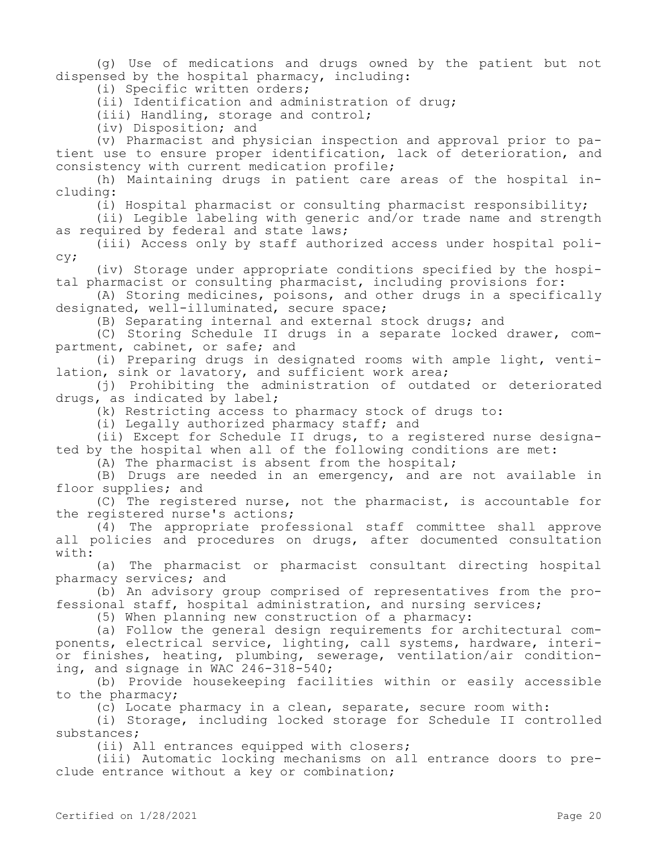(g) Use of medications and drugs owned by the patient but not dispensed by the hospital pharmacy, including:

(i) Specific written orders;

(ii) Identification and administration of drug;

(iii) Handling, storage and control;

(iv) Disposition; and

(v) Pharmacist and physician inspection and approval prior to patient use to ensure proper identification, lack of deterioration, and consistency with current medication profile;

(h) Maintaining drugs in patient care areas of the hospital including:

(i) Hospital pharmacist or consulting pharmacist responsibility;

(ii) Legible labeling with generic and/or trade name and strength as required by federal and state laws;

(iii) Access only by staff authorized access under hospital policy;

(iv) Storage under appropriate conditions specified by the hospital pharmacist or consulting pharmacist, including provisions for:

(A) Storing medicines, poisons, and other drugs in a specifically designated, well-illuminated, secure space;

(B) Separating internal and external stock drugs; and

(C) Storing Schedule II drugs in a separate locked drawer, compartment, cabinet, or safe; and

(i) Preparing drugs in designated rooms with ample light, ventilation, sink or lavatory, and sufficient work area;

(j) Prohibiting the administration of outdated or deteriorated drugs, as indicated by label;

(k) Restricting access to pharmacy stock of drugs to:

(i) Legally authorized pharmacy staff; and

(ii) Except for Schedule II drugs, to a registered nurse designated by the hospital when all of the following conditions are met:

(A) The pharmacist is absent from the hospital;

(B) Drugs are needed in an emergency, and are not available in floor supplies; and

(C) The registered nurse, not the pharmacist, is accountable for the registered nurse's actions;

(4) The appropriate professional staff committee shall approve all policies and procedures on drugs, after documented consultation with:

(a) The pharmacist or pharmacist consultant directing hospital pharmacy services; and

(b) An advisory group comprised of representatives from the professional staff, hospital administration, and nursing services;

(5) When planning new construction of a pharmacy:

(a) Follow the general design requirements for architectural components, electrical service, lighting, call systems, hardware, interior finishes, heating, plumbing, sewerage, ventilation/air conditioning, and signage in WAC 246-318-540;

(b) Provide housekeeping facilities within or easily accessible to the pharmacy;

(c) Locate pharmacy in a clean, separate, secure room with:

(i) Storage, including locked storage for Schedule II controlled substances;

(ii) All entrances equipped with closers;

(iii) Automatic locking mechanisms on all entrance doors to preclude entrance without a key or combination;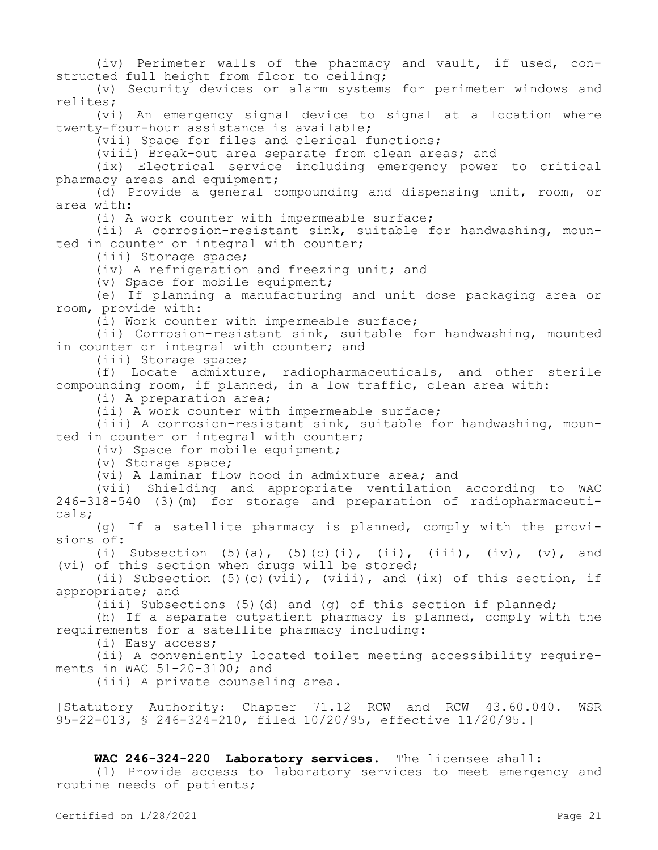(iv) Perimeter walls of the pharmacy and vault, if used, constructed full height from floor to ceiling;

(v) Security devices or alarm systems for perimeter windows and relites;

(vi) An emergency signal device to signal at a location where twenty-four-hour assistance is available;

(vii) Space for files and clerical functions;

(viii) Break-out area separate from clean areas; and

(ix) Electrical service including emergency power to critical pharmacy areas and equipment;

(d) Provide a general compounding and dispensing unit, room, or area with:

(i) A work counter with impermeable surface;

(ii) A corrosion-resistant sink, suitable for handwashing, mounted in counter or integral with counter;

(iii) Storage space;

(iv) A refrigeration and freezing unit; and

(v) Space for mobile equipment;

(e) If planning a manufacturing and unit dose packaging area or room, provide with:

(i) Work counter with impermeable surface;

(ii) Corrosion-resistant sink, suitable for handwashing, mounted in counter or integral with counter; and

(iii) Storage space;

(f) Locate admixture, radiopharmaceuticals, and other sterile compounding room, if planned, in a low traffic, clean area with:

(i) A preparation area;

(ii) A work counter with impermeable surface;

(iii) A corrosion-resistant sink, suitable for handwashing, mounted in counter or integral with counter;

(iv) Space for mobile equipment;

(v) Storage space;

(vi) A laminar flow hood in admixture area; and

(vii) Shielding and appropriate ventilation according to WAC 246-318-540 (3)(m) for storage and preparation of radiopharmaceuticals;

(g) If a satellite pharmacy is planned, comply with the provisions of:

(i) Subsection  $(5)(a)$ ,  $(5)(c)(i)$ ,  $(ii)$ ,  $(iii)$ ,  $(iv)$ ,  $(v)$ , and (vi) of this section when drugs will be stored;

(ii) Subsection (5)(c)(vii), (viii), and (ix) of this section, if appropriate; and

(iii) Subsections (5)(d) and (g) of this section if planned;

(h) If a separate outpatient pharmacy is planned, comply with the requirements for a satellite pharmacy including:

(i) Easy access;

(ii) A conveniently located toilet meeting accessibility requirements in WAC 51-20-3100; and

(iii) A private counseling area.

[Statutory Authority: Chapter 71.12 RCW and RCW 43.60.040. WSR 95-22-013, § 246-324-210, filed 10/20/95, effective 11/20/95.]

# **WAC 246-324-220 Laboratory services.** The licensee shall:

(1) Provide access to laboratory services to meet emergency and routine needs of patients;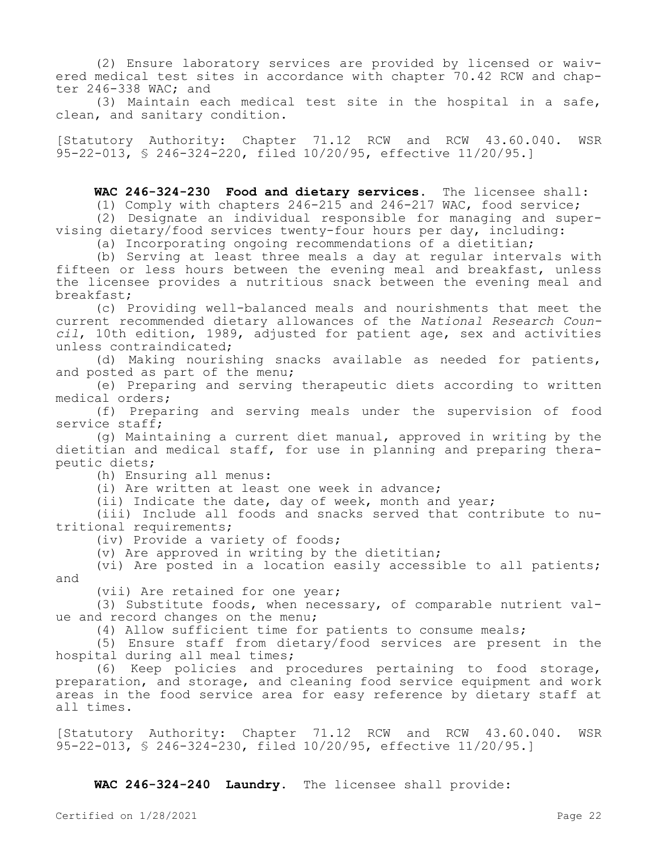(2) Ensure laboratory services are provided by licensed or waivered medical test sites in accordance with chapter 70.42 RCW and chapter 246-338 WAC; and

(3) Maintain each medical test site in the hospital in a safe, clean, and sanitary condition.

[Statutory Authority: Chapter 71.12 RCW and RCW 43.60.040. WSR 95-22-013, § 246-324-220, filed 10/20/95, effective 11/20/95.]

**WAC 246-324-230 Food and dietary services.** The licensee shall:

(1) Comply with chapters 246-215 and 246-217 WAC, food service;

(2) Designate an individual responsible for managing and supervising dietary/food services twenty-four hours per day, including:

(a) Incorporating ongoing recommendations of a dietitian;

(b) Serving at least three meals a day at regular intervals with fifteen or less hours between the evening meal and breakfast, unless the licensee provides a nutritious snack between the evening meal and breakfast;

(c) Providing well-balanced meals and nourishments that meet the current recommended dietary allowances of the *National Research Council*, 10th edition, 1989, adjusted for patient age, sex and activities unless contraindicated;

(d) Making nourishing snacks available as needed for patients, and posted as part of the menu;

(e) Preparing and serving therapeutic diets according to written medical orders;

(f) Preparing and serving meals under the supervision of food service staff;

(g) Maintaining a current diet manual, approved in writing by the dietitian and medical staff, for use in planning and preparing therapeutic diets;

(h) Ensuring all menus:

(i) Are written at least one week in advance;

(ii) Indicate the date, day of week, month and year;

(iii) Include all foods and snacks served that contribute to nutritional requirements;

(iv) Provide a variety of foods;

(v) Are approved in writing by the dietitian;

(vi) Are posted in a location easily accessible to all patients; and

(vii) Are retained for one year;

(3) Substitute foods, when necessary, of comparable nutrient value and record changes on the menu;

(4) Allow sufficient time for patients to consume meals;

(5) Ensure staff from dietary/food services are present in the hospital during all meal times;

(6) Keep policies and procedures pertaining to food storage, preparation, and storage, and cleaning food service equipment and work areas in the food service area for easy reference by dietary staff at all times.

[Statutory Authority: Chapter 71.12 RCW and RCW 43.60.040. WSR 95-22-013, § 246-324-230, filed 10/20/95, effective 11/20/95.]

**WAC 246-324-240 Laundry.** The licensee shall provide: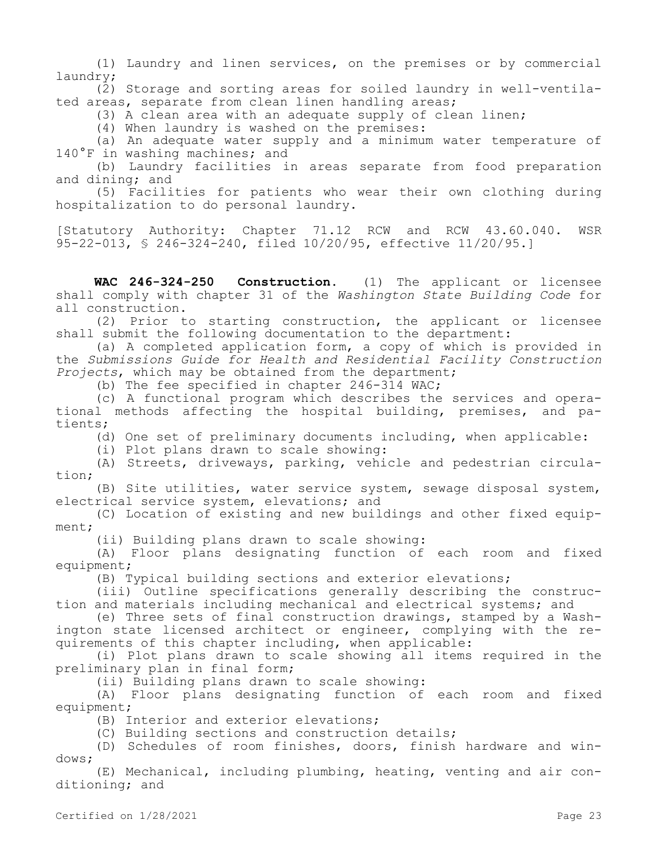(1) Laundry and linen services, on the premises or by commercial laundry;

(2) Storage and sorting areas for soiled laundry in well-ventilated areas, separate from clean linen handling areas;

(3) A clean area with an adequate supply of clean linen;

(4) When laundry is washed on the premises:

(a) An adequate water supply and a minimum water temperature of 140°F in washing machines; and

(b) Laundry facilities in areas separate from food preparation and dining; and

(5) Facilities for patients who wear their own clothing during hospitalization to do personal laundry.

[Statutory Authority: Chapter 71.12 RCW and RCW 43.60.040. WSR 95-22-013, § 246-324-240, filed 10/20/95, effective 11/20/95.]

**WAC 246-324-250 Construction.** (1) The applicant or licensee shall comply with chapter 31 of the *Washington State Building Code* for all construction.

(2) Prior to starting construction, the applicant or licensee shall submit the following documentation to the department:

(a) A completed application form, a copy of which is provided in the *Submissions Guide for Health and Residential Facility Construction Projects*, which may be obtained from the department;

(b) The fee specified in chapter 246-314 WAC;

(c) A functional program which describes the services and operational methods affecting the hospital building, premises, and patients;

(d) One set of preliminary documents including, when applicable:

(i) Plot plans drawn to scale showing:

(A) Streets, driveways, parking, vehicle and pedestrian circulation;

(B) Site utilities, water service system, sewage disposal system, electrical service system, elevations; and

(C) Location of existing and new buildings and other fixed equipment;

(ii) Building plans drawn to scale showing:

(A) Floor plans designating function of each room and fixed equipment;

(B) Typical building sections and exterior elevations;

(iii) Outline specifications generally describing the construction and materials including mechanical and electrical systems; and

(e) Three sets of final construction drawings, stamped by a Washington state licensed architect or engineer, complying with the requirements of this chapter including, when applicable:

(i) Plot plans drawn to scale showing all items required in the preliminary plan in final form;

(ii) Building plans drawn to scale showing:

(A) Floor plans designating function of each room and fixed equipment;

(B) Interior and exterior elevations;

(C) Building sections and construction details;

(D) Schedules of room finishes, doors, finish hardware and windows;

(E) Mechanical, including plumbing, heating, venting and air conditioning; and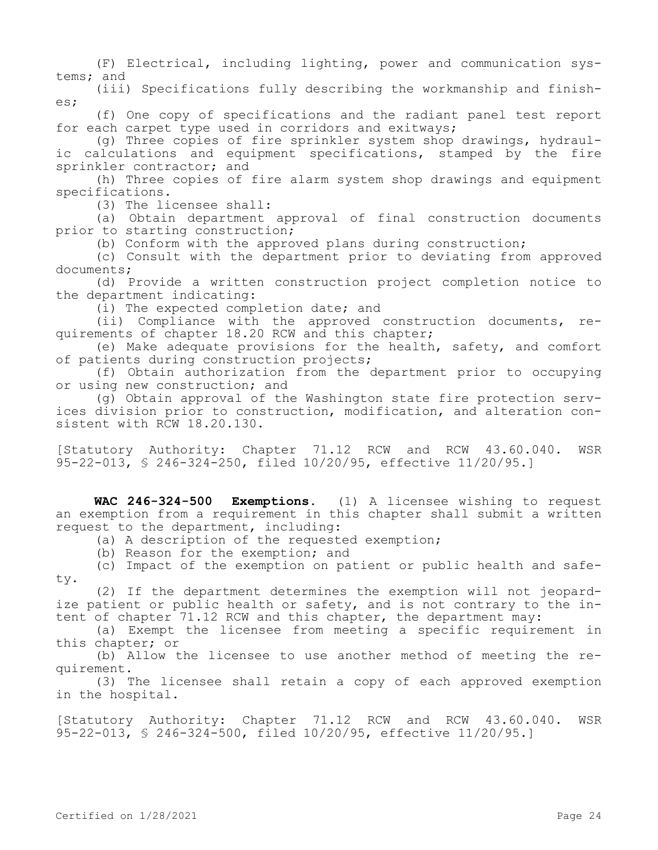(F) Electrical, including lighting, power and communication systems; and

(iii) Specifications fully describing the workmanship and finishes;

(f) One copy of specifications and the radiant panel test report for each carpet type used in corridors and exitways;

(g) Three copies of fire sprinkler system shop drawings, hydraulic calculations and equipment specifications, stamped by the fire sprinkler contractor; and

(h) Three copies of fire alarm system shop drawings and equipment specifications.

(3) The licensee shall:

(a) Obtain department approval of final construction documents prior to starting construction;

(b) Conform with the approved plans during construction;

(c) Consult with the department prior to deviating from approved documents;

(d) Provide a written construction project completion notice to the department indicating:

(i) The expected completion date; and

(ii) Compliance with the approved construction documents, requirements of chapter 18.20 RCW and this chapter;

(e) Make adequate provisions for the health, safety, and comfort of patients during construction projects;

(f) Obtain authorization from the department prior to occupying or using new construction; and

(g) Obtain approval of the Washington state fire protection services division prior to construction, modification, and alteration consistent with RCW 18.20.130.

[Statutory Authority: Chapter 71.12 RCW and RCW 43.60.040. WSR 95-22-013, § 246-324-250, filed 10/20/95, effective 11/20/95.]

**WAC 246-324-500 Exemptions.** (1) A licensee wishing to request an exemption from a requirement in this chapter shall submit a written request to the department, including:

(a) A description of the requested exemption;

(b) Reason for the exemption; and

(c) Impact of the exemption on patient or public health and safety.

(2) If the department determines the exemption will not jeopardize patient or public health or safety, and is not contrary to the intent of chapter 71.12 RCW and this chapter, the department may:

(a) Exempt the licensee from meeting a specific requirement in this chapter; or

(b) Allow the licensee to use another method of meeting the requirement.

(3) The licensee shall retain a copy of each approved exemption in the hospital.

[Statutory Authority: Chapter 71.12 RCW and RCW 43.60.040. WSR 95-22-013, § 246-324-500, filed 10/20/95, effective 11/20/95.]